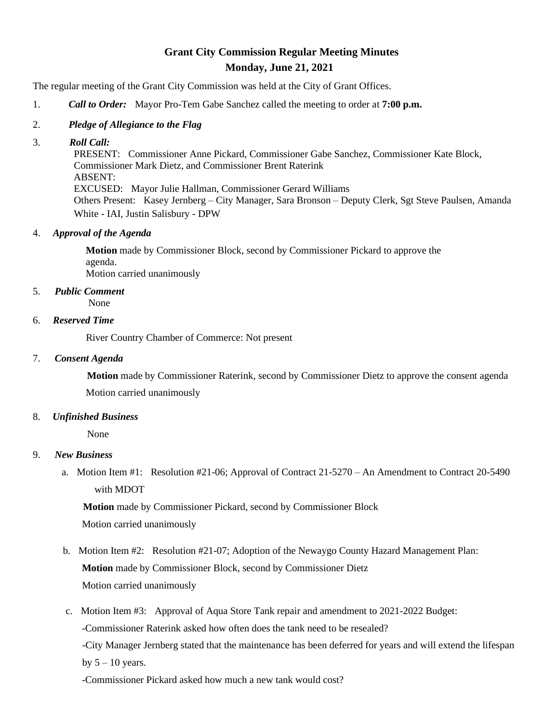# **Grant City Commission Regular Meeting Minutes Monday, June 21, 2021**

The regular meeting of the Grant City Commission was held at the City of Grant Offices.

1. *Call to Order:* Mayor Pro-Tem Gabe Sanchez called the meeting to order at **7:00 p.m.**

## 2. *Pledge of Allegiance to the Flag*

### 3. *Roll Call:*

PRESENT: Commissioner Anne Pickard, Commissioner Gabe Sanchez, Commissioner Kate Block, Commissioner Mark Dietz, and Commissioner Brent Raterink ABSENT: EXCUSED: Mayor Julie Hallman, Commissioner Gerard Williams Others Present: Kasey Jernberg – City Manager, Sara Bronson – Deputy Clerk, Sgt Steve Paulsen, Amanda White - IAI, Justin Salisbury - DPW

## 4. *Approval of the Agenda*

 **Motion** made by Commissioner Block, second by Commissioner Pickard to approve the agenda. Motion carried unanimously

# 5. *Public Comment*

None

### 6. *Reserved Time*

River Country Chamber of Commerce: Not present

### 7. *Consent Agenda*

**Motion** made by Commissioner Raterink, second by Commissioner Dietz to approve the consent agenda Motion carried unanimously

### 8. *Unfinished Business*

None

# 9. *New Business*

a. Motion Item #1: Resolution #21-06; Approval of Contract 21-5270 – An Amendment to Contract 20-5490 with MDOT

 **Motion** made by Commissioner Pickard, second by Commissioner Block Motion carried unanimously

- b. Motion Item #2: Resolution #21-07; Adoption of the Newaygo County Hazard Management Plan: **Motion** made by Commissioner Block, second by Commissioner Dietz Motion carried unanimously
- c. Motion Item #3: Approval of Aqua Store Tank repair and amendment to 2021-2022 Budget: -Commissioner Raterink asked how often does the tank need to be resealed? -City Manager Jernberg stated that the maintenance has been deferred for years and will extend the lifespan by  $5 - 10$  years.

-Commissioner Pickard asked how much a new tank would cost?